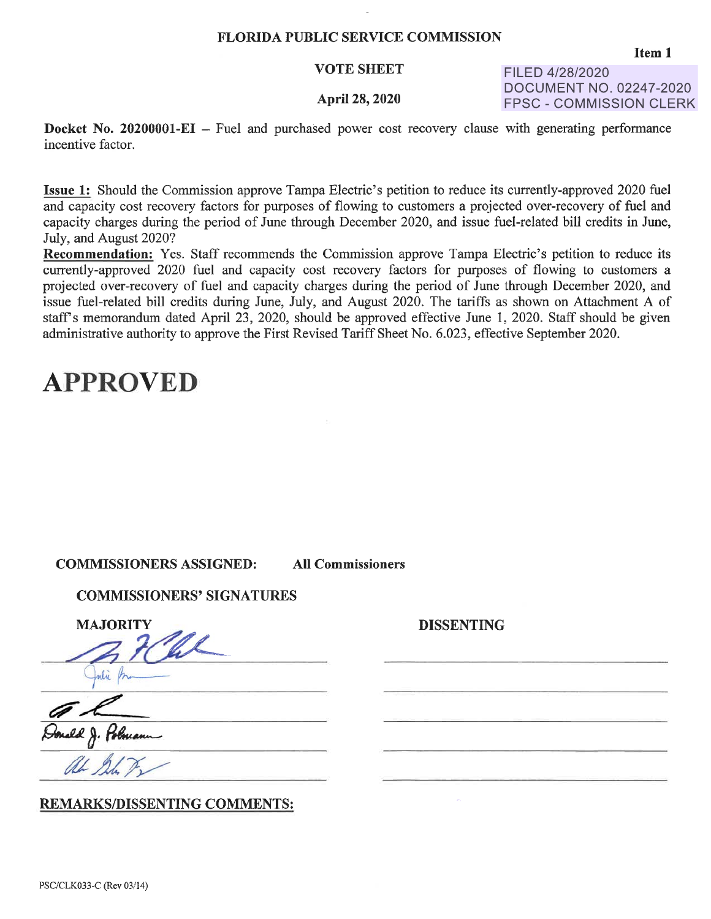### FLORIDA PUBLIC SERVICE COMMISSION

### VOTE SHEET

### April 28, 2020

FILED 4/28/2020 DOCUMENT NO. 02247-2020 FPSC - COMMISSION CLERK

**Docket No. 20200001-EI** – Fuel and purchased power cost recovery clause with generating performance incentive factor.

**Issue 1:** Should the Commission approve Tampa Electric's petition to reduce its currently-approved 2020 fuel and capacity cost recovery factors for purposes of flowing to customers a projected over-recovery of fuel and capacity charges during the period of June through December 2020, and issue fuel-related bill credits in June, July, and August 2020?

**Recommendation:** Yes. Staff recommends the Commission approve Tampa Electric's petition to reduce its currently-approved 2020 fuel and capacity cost recovery factors for purposes of flowing to customers a projected over-recovery of fuel and capacity charges during the period of June through December 2020, and issue fuel-related bill credits during June, July, and August 2020. The tariffs as shown on Attachment A of staff's memorandum dated April 23, 2020, should be approved effective June 1, 2020. Staff should be given administrative authority to approve the First Revised Tariff Sheet No. 6.023, effective September 2020.

DISSENTING

### **APPROVED**

| <b>COMMISSIONERS ASSIGNED:</b> | <b>All Commissioners</b> |
|--------------------------------|--------------------------|
|--------------------------------|--------------------------|

| <b>COMMISSIONERS' SIGNATURES</b> |
|----------------------------------|
| <b>MAJORITY</b>                  |
|                                  |
|                                  |
|                                  |

Oonald J. Polmann

### REMARKS/DISSENTING COMMENTS: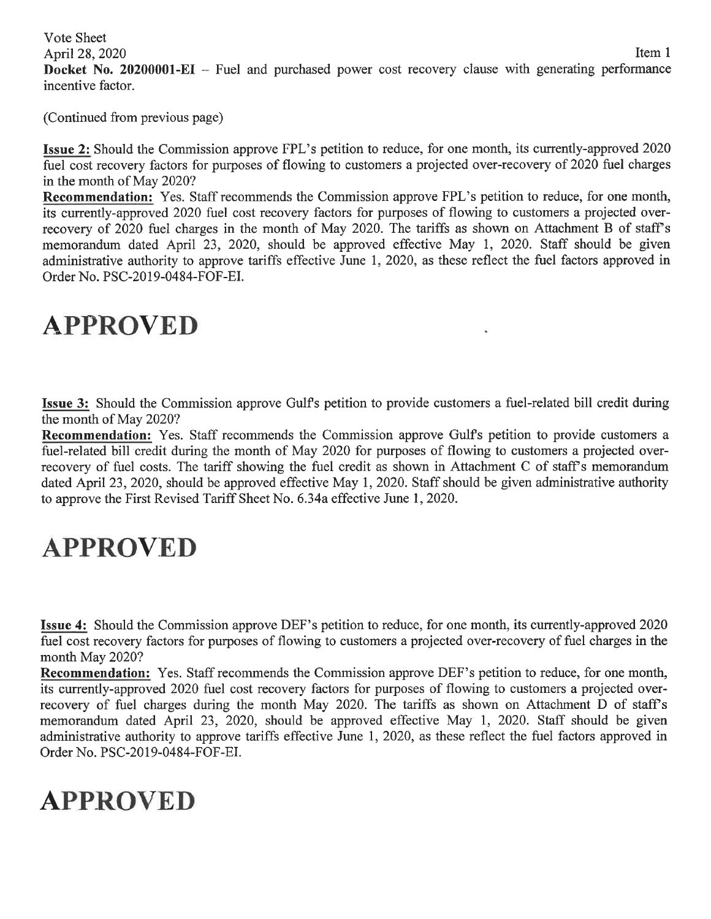Vote Sheet

April 28, 2020 Item 1

**Docket No. 20200001-EI** – Fuel and purchased power cost recovery clause with generating performance incentive factor.

(Continued from previous page)

**Issue 2:** Should the Commission approve FPL's petition to reduce, for one month, its currently-approved 2020 fuel cost recovery factors for purposes of flowing to customers a projected over-recovery of 2020 fuel charges in the month of May 2020?

**Recommendation:** Yes. Staff recommends the Commission approve FPL's petition to reduce, for one month, its currently-approved 2020 fuel cost recovery factors for purposes of flowing to customers a projected overrecovery of 2020 fuel charges in the month of May 2020. The tariffs as shown on Attachment B of staff's memorandum dated April 23, 2020, should be approved effective May 1, 2020. Staff should be given administrative authority to approve tariffs effective June 1, 2020, as these reflect the fuel factors approved in Order No. PSC-2019-0484-FOF-EI.

# **APPROVED**

**Issue 3:** Should the Commission approve Gulfs petition to provide customers a fuel-related bill credit during the month of May 2020?

**Recommendation:** Yes. Staff recommends the Commission approve Gulfs petition to provide customers a fuel-related bill credit during the month of May 2020 for purposes of flowing to customers a projected overrecovery of fuel costs. The tariff showing the fuel credit as shown in Attachment C of staff's memorandum dated April 23, 2020, should be approved effective May 1, 2020. Staff should be given administrative authority to approve the First Revised Tariff Sheet No. 6.34a effective June 1, 2020.

# **APPROVED**

**Issue 4:** Should the Commission approve DEF's petition to reduce, for one month, its currently-approved 2020 fuel cost recovery factors for purposes of flowing to customers a projected over-recovery of fuel charges in the month May 2020?

**Recommendation:** Yes. Staff recommends the Commission approve DEF's petition to reduce, for one month, its currently-approved 2020 fuel cost recovery factors for purposes of flowing to customers a projected overrecovery of fuel charges during the month May 2020. The tariffs as shown on Attachment D of staff's memorandum dated April 23, 2020, should be approved effective May 1, 2020. Staff should be given administrative authority to approve tariffs effective June 1, 2020, as these reflect the fuel factors approved in Order No. PSC-2019-0484-FOF-EI.

# **APPROVED**